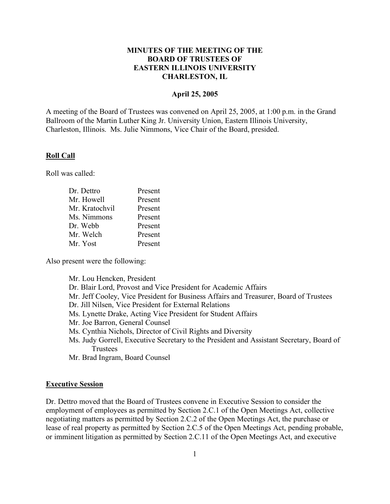## **MINUTES OF THE MEETING OF THE BOARD OF TRUSTEES OF EASTERN ILLINOIS UNIVERSITY CHARLESTON, IL**

## **April 25, 2005**

A meeting of the Board of Trustees was convened on April 25, 2005, at 1:00 p.m. in the Grand Ballroom of the Martin Luther King Jr. University Union, Eastern Illinois University, Charleston, Illinois. Ms. Julie Nimmons, Vice Chair of the Board, presided.

#### **Roll Call**

Roll was called:

| Dr. Dettro     | Present |
|----------------|---------|
| Mr. Howell     | Present |
| Mr. Kratochvil | Present |
| Ms. Nimmons    | Present |
| Dr. Webb       | Present |
| Mr. Welch      | Present |
| Mr. Yost       | Present |
|                |         |

Also present were the following:

Mr. Lou Hencken, President

- Dr. Blair Lord, Provost and Vice President for Academic Affairs
- Mr. Jeff Cooley, Vice President for Business Affairs and Treasurer, Board of Trustees
- Dr. Jill Nilsen, Vice President for External Relations
- Ms. Lynette Drake, Acting Vice President for Student Affairs
- Mr. Joe Barron, General Counsel
- Ms. Cynthia Nichols, Director of Civil Rights and Diversity
- Ms. Judy Gorrell, Executive Secretary to the President and Assistant Secretary, Board of **Trustees**

Mr. Brad Ingram, Board Counsel

#### **Executive Session**

Dr. Dettro moved that the Board of Trustees convene in Executive Session to consider the employment of employees as permitted by Section 2.C.1 of the Open Meetings Act, collective negotiating matters as permitted by Section 2.C.2 of the Open Meetings Act, the purchase or lease of real property as permitted by Section 2.C.5 of the Open Meetings Act, pending probable, or imminent litigation as permitted by Section 2.C.11 of the Open Meetings Act, and executive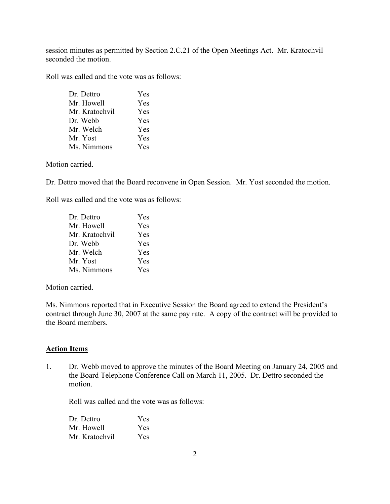session minutes as permitted by Section 2.C.21 of the Open Meetings Act. Mr. Kratochvil seconded the motion.

Roll was called and the vote was as follows:

| Dr. Dettro     | Yes |
|----------------|-----|
| Mr. Howell     | Yes |
| Mr. Kratochvil | Yes |
| Dr. Webb       | Yes |
| Mr. Welch      | Yes |
| Mr. Yost       | Yes |
| Ms. Nimmons    | Yes |

Motion carried.

Dr. Dettro moved that the Board reconvene in Open Session. Mr. Yost seconded the motion.

Roll was called and the vote was as follows:

| Dr. Dettro     | <b>Yes</b> |
|----------------|------------|
| Mr. Howell     | Yes        |
| Mr. Kratochvil | <b>Yes</b> |
| Dr. Webb       | Yes        |
| Mr. Welch      | <b>Yes</b> |
| Mr. Yost       | <b>Yes</b> |
| Ms. Nimmons    | Yes        |

Motion carried.

Ms. Nimmons reported that in Executive Session the Board agreed to extend the President's contract through June 30, 2007 at the same pay rate. A copy of the contract will be provided to the Board members.

## **Action Items**

1. Dr. Webb moved to approve the minutes of the Board Meeting on January 24, 2005 and the Board Telephone Conference Call on March 11, 2005. Dr. Dettro seconded the motion.

Roll was called and the vote was as follows:

| Dr. Dettro     | <b>Yes</b> |
|----------------|------------|
| Mr. Howell     | Yes.       |
| Mr. Kratochvil | Yes.       |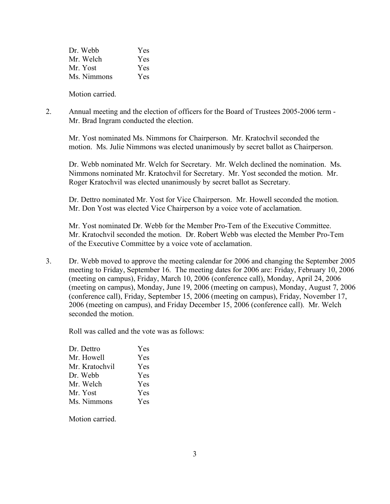| Dr. Webb    | Yes |
|-------------|-----|
| Mr. Welch   | Yes |
| Mr. Yost    | Yes |
| Ms. Nimmons | Yes |
|             |     |

Motion carried.

2. Annual meeting and the election of officers for the Board of Trustees 2005-2006 term - Mr. Brad Ingram conducted the election.

Mr. Yost nominated Ms. Nimmons for Chairperson. Mr. Kratochvil seconded the motion. Ms. Julie Nimmons was elected unanimously by secret ballot as Chairperson.

Dr. Webb nominated Mr. Welch for Secretary. Mr. Welch declined the nomination. Ms. Nimmons nominated Mr. Kratochvil for Secretary. Mr. Yost seconded the motion. Mr. Roger Kratochvil was elected unanimously by secret ballot as Secretary.

Dr. Dettro nominated Mr. Yost for Vice Chairperson. Mr. Howell seconded the motion. Mr. Don Yost was elected Vice Chairperson by a voice vote of acclamation.

Mr. Yost nominated Dr. Webb for the Member Pro-Tem of the Executive Committee. Mr. Kratochvil seconded the motion. Dr. Robert Webb was elected the Member Pro-Tem of the Executive Committee by a voice vote of acclamation.

3. Dr. Webb moved to approve the meeting calendar for 2006 and changing the September 2005 meeting to Friday, September 16. The meeting dates for 2006 are: Friday, February 10, 2006 (meeting on campus), Friday, March 10, 2006 (conference call), Monday, April 24, 2006 (meeting on campus), Monday, June 19, 2006 (meeting on campus), Monday, August 7, 2006 (conference call), Friday, September 15, 2006 (meeting on campus), Friday, November 17, 2006 (meeting on campus), and Friday December 15, 2006 (conference call). Mr. Welch seconded the motion.

Roll was called and the vote was as follows:

| Dr. Dettro     | Yes        |
|----------------|------------|
| Mr. Howell     | <b>Yes</b> |
| Mr. Kratochvil | Yes        |
| Dr. Webb       | Yes        |
| Mr. Welch      | Yes        |
| Mr. Yost       | Yes        |
| Ms. Nimmons    | Yes        |
|                |            |

Motion carried.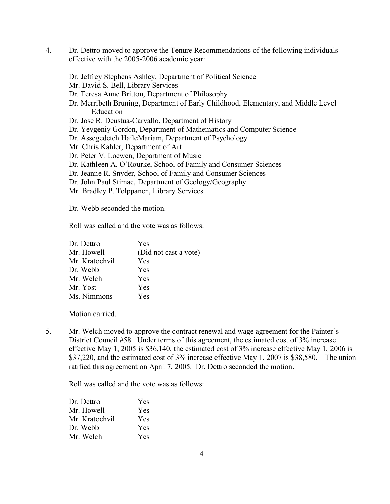- 4. Dr. Dettro moved to approve the Tenure Recommendations of the following individuals effective with the 2005-2006 academic year:
	- Dr. Jeffrey Stephens Ashley, Department of Political Science
	- Mr. David S. Bell, Library Services
	- Dr. Teresa Anne Britton, Department of Philosophy
	- Dr. Merribeth Bruning, Department of Early Childhood, Elementary, and Middle Level Education
	- Dr. Jose R. Deustua-Carvallo, Department of History
	- Dr. Yevgeniy Gordon, Department of Mathematics and Computer Science
	- Dr. Assegedetch HaileMariam, Department of Psychology
	- Mr. Chris Kahler, Department of Art
	- Dr. Peter V. Loewen, Department of Music
	- Dr. Kathleen A. O'Rourke, School of Family and Consumer Sciences
	- Dr. Jeanne R. Snyder, School of Family and Consumer Sciences
	- Dr. John Paul Stimac, Department of Geology/Geography
	- Mr. Bradley P. Tolppanen, Library Services

Dr. Webb seconded the motion.

Roll was called and the vote was as follows:

| <b>Yes</b>            |
|-----------------------|
| (Did not cast a vote) |
| Yes                   |
| <b>Yes</b>            |
| <b>Yes</b>            |
| <b>Yes</b>            |
| Yes                   |
|                       |

Motion carried.

5. Mr. Welch moved to approve the contract renewal and wage agreement for the Painter's District Council #58. Under terms of this agreement, the estimated cost of 3% increase effective May 1, 2005 is \$36,140, the estimated cost of 3% increase effective May 1, 2006 is \$37,220, and the estimated cost of 3% increase effective May 1, 2007 is \$38,580. The union ratified this agreement on April 7, 2005. Dr. Dettro seconded the motion.

Roll was called and the vote was as follows:

| Dr. Dettro     | <b>Yes</b> |
|----------------|------------|
| Mr. Howell     | <b>Yes</b> |
| Mr. Kratochvil | Yes.       |
| Dr. Webb       | <b>Yes</b> |
| Mr. Welch      | <b>Yes</b> |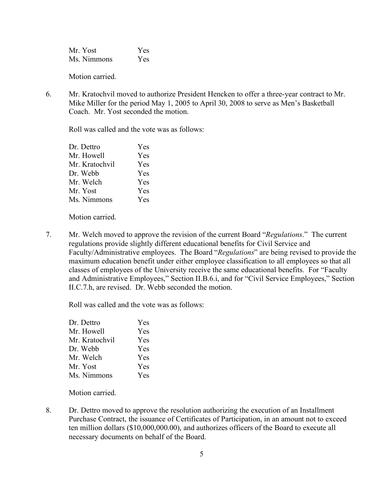Mr. Yost Yes Ms. Nimmons Yes

Motion carried.

6. Mr. Kratochvil moved to authorize President Hencken to offer a three-year contract to Mr. Mike Miller for the period May 1, 2005 to April 30, 2008 to serve as Men's Basketball Coach. Mr. Yost seconded the motion.

Roll was called and the vote was as follows:

| Dr. Dettro     | Yes        |
|----------------|------------|
| Mr. Howell     | Yes        |
| Mr. Kratochvil | Yes        |
| Dr. Webb       | Yes        |
| Mr. Welch      | <b>Yes</b> |
| Mr. Yost       | Yes        |
| Ms. Nimmons    | Yes        |

Motion carried.

7. Mr. Welch moved to approve the revision of the current Board "*Regulations*." The current regulations provide slightly different educational benefits for Civil Service and Faculty/Administrative employees. The Board "*Regulations*" are being revised to provide the maximum education benefit under either employee classification to all employees so that all classes of employees of the University receive the same educational benefits. For "Faculty and Administrative Employees," Section II.B.6.i, and for "Civil Service Employees," Section II.C.7.h, are revised. Dr. Webb seconded the motion.

Roll was called and the vote was as follows:

| Dr. Dettro     | Yes        |
|----------------|------------|
| Mr. Howell     | Yes        |
| Mr. Kratochvil | Yes        |
| Dr. Webb       | Yes        |
| Mr. Welch      | Yes        |
| Mr. Yost       | <b>Yes</b> |
| Ms. Nimmons    | Yes        |
|                |            |

Motion carried.

8. Dr. Dettro moved to approve the resolution authorizing the execution of an Installment Purchase Contract, the issuance of Certificates of Participation, in an amount not to exceed ten million dollars (\$10,000,000.00), and authorizes officers of the Board to execute all necessary documents on behalf of the Board.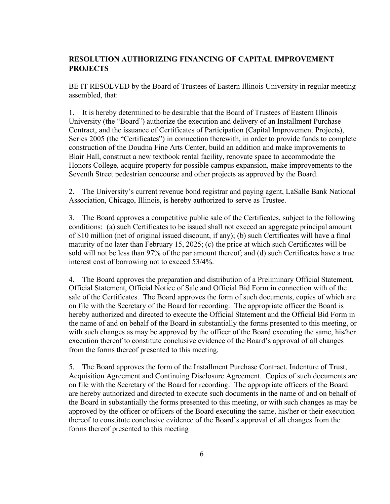# **RESOLUTION AUTHORIZING FINANCING OF CAPITAL IMPROVEMENT PROJECTS**

BE IT RESOLVED by the Board of Trustees of Eastern Illinois University in regular meeting assembled, that:

1. It is hereby determined to be desirable that the Board of Trustees of Eastern Illinois University (the "Board") authorize the execution and delivery of an Installment Purchase Contract, and the issuance of Certificates of Participation (Capital Improvement Projects), Series 2005 (the "Certificates") in connection therewith, in order to provide funds to complete construction of the Doudna Fine Arts Center, build an addition and make improvements to Blair Hall, construct a new textbook rental facility, renovate space to accommodate the Honors College, acquire property for possible campus expansion, make improvements to the Seventh Street pedestrian concourse and other projects as approved by the Board.

2. The University's current revenue bond registrar and paying agent, LaSalle Bank National Association, Chicago, Illinois, is hereby authorized to serve as Trustee.

3. The Board approves a competitive public sale of the Certificates, subject to the following conditions: (a) such Certificates to be issued shall not exceed an aggregate principal amount of \$10 million (net of original issued discount, if any); (b) such Certificates will have a final maturity of no later than February 15, 2025; (c) the price at which such Certificates will be sold will not be less than 97% of the par amount thereof; and (d) such Certificates have a true interest cost of borrowing not to exceed 53/4%.

4. The Board approves the preparation and distribution of a Preliminary Official Statement, Official Statement, Official Notice of Sale and Official Bid Form in connection with of the sale of the Certificates. The Board approves the form of such documents, copies of which are on file with the Secretary of the Board for recording. The appropriate officer the Board is hereby authorized and directed to execute the Official Statement and the Official Bid Form in the name of and on behalf of the Board in substantially the forms presented to this meeting, or with such changes as may be approved by the officer of the Board executing the same, his/her execution thereof to constitute conclusive evidence of the Board's approval of all changes from the forms thereof presented to this meeting.

5. The Board approves the form of the Installment Purchase Contract, Indenture of Trust, Acquisition Agreement and Continuing Disclosure Agreement. Copies of such documents are on file with the Secretary of the Board for recording. The appropriate officers of the Board are hereby authorized and directed to execute such documents in the name of and on behalf of the Board in substantially the forms presented to this meeting, or with such changes as may be approved by the officer or officers of the Board executing the same, his/her or their execution thereof to constitute conclusive evidence of the Board's approval of all changes from the forms thereof presented to this meeting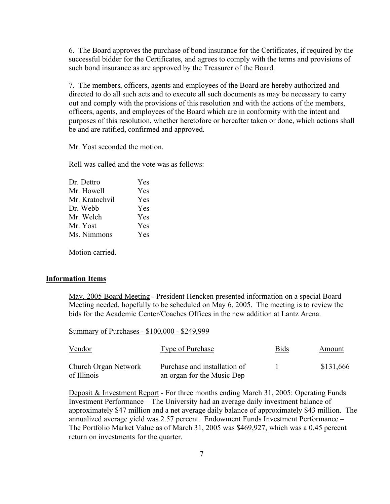6. The Board approves the purchase of bond insurance for the Certificates, if required by the successful bidder for the Certificates, and agrees to comply with the terms and provisions of such bond insurance as are approved by the Treasurer of the Board.

7. The members, officers, agents and employees of the Board are hereby authorized and directed to do all such acts and to execute all such documents as may be necessary to carry out and comply with the provisions of this resolution and with the actions of the members, officers, agents, and employees of the Board which are in conformity with the intent and purposes of this resolution, whether heretofore or hereafter taken or done, which actions shall be and are ratified, confirmed and approved.

Mr. Yost seconded the motion.

Roll was called and the vote was as follows:

| Dr. Dettro     | <b>Yes</b> |
|----------------|------------|
| Mr. Howell     | Yes        |
| Mr. Kratochvil | Yes        |
| Dr. Webb       | Yes        |
| Mr. Welch      | Yes        |
| Mr. Yost       | Yes        |
| Ms. Nimmons    | Yes        |
|                |            |

Motion carried.

#### **Information Items**

May, 2005 Board Meeting - President Hencken presented information on a special Board Meeting needed, hopefully to be scheduled on May 6, 2005. The meeting is to review the bids for the Academic Center/Coaches Offices in the new addition at Lantz Arena.

Summary of Purchases - \$100,000 - \$249,999

| Vendor                              | <b>Type of Purchase</b>                                    | <b>Bids</b> | Amount    |
|-------------------------------------|------------------------------------------------------------|-------------|-----------|
| Church Organ Network<br>of Illinois | Purchase and installation of<br>an organ for the Music Dep |             | \$131,666 |

Deposit & Investment Report - For three months ending March 31, 2005: Operating Funds Investment Performance – The University had an average daily investment balance of approximately \$47 million and a net average daily balance of approximately \$43 million. The annualized average yield was 2.57 percent. Endowment Funds Investment Performance – The Portfolio Market Value as of March 31, 2005 was \$469,927, which was a 0.45 percent return on investments for the quarter.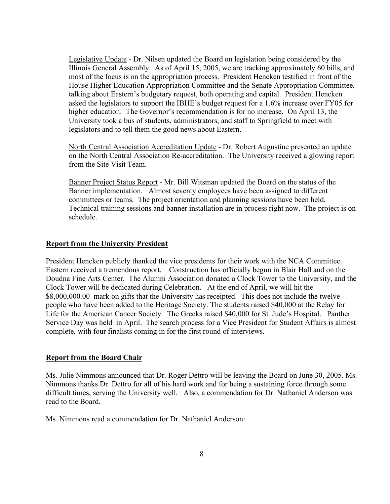Legislative Update - Dr. Nilsen updated the Board on legislation being considered by the Illinois General Assembly. As of April 15, 2005, we are tracking approximately 60 bills, and most of the focus is on the appropriation process. President Hencken testified in front of the House Higher Education Appropriation Committee and the Senate Appropriation Committee, talking about Eastern's budgetary request, both operating and capital. President Hencken asked the legislators to support the IBHE's budget request for a 1.6% increase over FY05 for higher education. The Governor's recommendation is for no increase. On April 13, the University took a bus of students, administrators, and staff to Springfield to meet with legislators and to tell them the good news about Eastern.

North Central Association Accreditation Update - Dr. Robert Augustine presented an update on the North Central Association Re-accreditation. The University received a glowing report from the Site Visit Team.

Banner Project Status Report - Mr. Bill Witsman updated the Board on the status of the Banner implementation. Almost seventy employees have been assigned to different committees or teams. The project orientation and planning sessions have been held. Technical training sessions and banner installation are in process right now. The project is on schedule.

## **Report from the University President**

President Hencken publicly thanked the vice presidents for their work with the NCA Committee. Eastern received a tremendous report. Construction has officially begun in Blair Hall and on the Doudna Fine Arts Center. The Alumni Association donated a Clock Tower to the University, and the Clock Tower will be dedicated during Celebration. At the end of April, we will hit the \$8,000,000.00 mark on gifts that the University has receipted. This does not include the twelve people who have been added to the Heritage Society. The students raised \$40,000 at the Relay for Life for the American Cancer Society. The Greeks raised \$40,000 for St. Jude's Hospital. Panther Service Day was held in April. The search process for a Vice President for Student Affairs is almost complete, with four finalists coming in for the first round of interviews.

## **Report from the Board Chair**

Ms. Julie Nimmons announced that Dr. Roger Dettro will be leaving the Board on June 30, 2005. Ms. Nimmons thanks Dr. Dettro for all of his hard work and for being a sustaining force through some difficult times, serving the University well. Also, a commendation for Dr. Nathaniel Anderson was read to the Board.

Ms. Nimmons read a commendation for Dr. Nathaniel Anderson: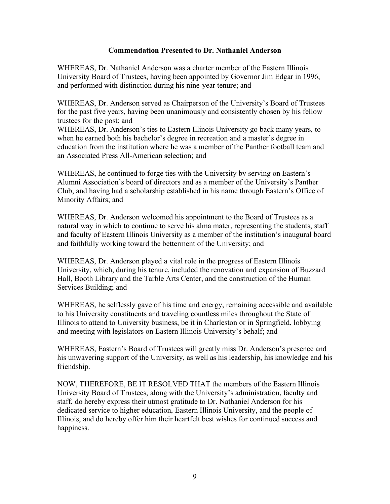## **Commendation Presented to Dr. Nathaniel Anderson**

WHEREAS, Dr. Nathaniel Anderson was a charter member of the Eastern Illinois University Board of Trustees, having been appointed by Governor Jim Edgar in 1996, and performed with distinction during his nine-year tenure; and

WHEREAS, Dr. Anderson served as Chairperson of the University's Board of Trustees for the past five years, having been unanimously and consistently chosen by his fellow trustees for the post; and

WHEREAS, Dr. Anderson's ties to Eastern Illinois University go back many years, to when he earned both his bachelor's degree in recreation and a master's degree in education from the institution where he was a member of the Panther football team and an Associated Press All-American selection; and

WHEREAS, he continued to forge ties with the University by serving on Eastern's Alumni Association's board of directors and as a member of the University's Panther Club, and having had a scholarship established in his name through Eastern's Office of Minority Affairs; and

WHEREAS, Dr. Anderson welcomed his appointment to the Board of Trustees as a natural way in which to continue to serve his alma mater, representing the students, staff and faculty of Eastern Illinois University as a member of the institution's inaugural board and faithfully working toward the betterment of the University; and

WHEREAS, Dr. Anderson played a vital role in the progress of Eastern Illinois University, which, during his tenure, included the renovation and expansion of Buzzard Hall, Booth Library and the Tarble Arts Center, and the construction of the Human Services Building; and

WHEREAS, he selflessly gave of his time and energy, remaining accessible and available to his University constituents and traveling countless miles throughout the State of Illinois to attend to University business, be it in Charleston or in Springfield, lobbying and meeting with legislators on Eastern Illinois University's behalf; and

WHEREAS, Eastern's Board of Trustees will greatly miss Dr. Anderson's presence and his unwavering support of the University, as well as his leadership, his knowledge and his friendship.

NOW, THEREFORE, BE IT RESOLVED THAT the members of the Eastern Illinois University Board of Trustees, along with the University's administration, faculty and staff, do hereby express their utmost gratitude to Dr. Nathaniel Anderson for his dedicated service to higher education, Eastern Illinois University, and the people of Illinois, and do hereby offer him their heartfelt best wishes for continued success and happiness.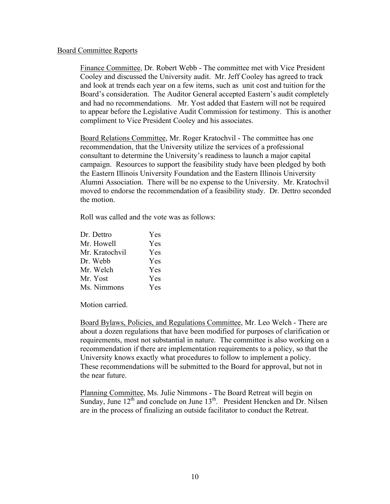## Board Committee Reports

Finance Committee, Dr. Robert Webb - The committee met with Vice President Cooley and discussed the University audit. Mr. Jeff Cooley has agreed to track and look at trends each year on a few items, such as unit cost and tuition for the Board's consideration. The Auditor General accepted Eastern's audit completely and had no recommendations. Mr. Yost added that Eastern will not be required to appear before the Legislative Audit Commission for testimony. This is another compliment to Vice President Cooley and his associates.

Board Relations Committee, Mr. Roger Kratochvil - The committee has one recommendation, that the University utilize the services of a professional consultant to determine the University's readiness to launch a major capital campaign. Resources to support the feasibility study have been pledged by both the Eastern Illinois University Foundation and the Eastern Illinois University Alumni Association. There will be no expense to the University. Mr. Kratochvil moved to endorse the recommendation of a feasibility study. Dr. Dettro seconded the motion.

Roll was called and the vote was as follows:

| Dr. Dettro     | Yes.       |
|----------------|------------|
| Mr. Howell     | Yes        |
| Mr. Kratochvil | Yes        |
| Dr. Webb       | Yes        |
| Mr. Welch      | <b>Yes</b> |
| Mr. Yost       | <b>Yes</b> |
| Ms. Nimmons    | <b>Yes</b> |

Motion carried.

Board Bylaws, Policies, and Regulations Committee, Mr. Leo Welch - There are about a dozen regulations that have been modified for purposes of clarification or requirements, most not substantial in nature. The committee is also working on a recommendation if there are implementation requirements to a policy, so that the University knows exactly what procedures to follow to implement a policy. These recommendations will be submitted to the Board for approval, but not in the near future.

Planning Committee, Ms. Julie Nimmons - The Board Retreat will begin on Sunday, June  $12<sup>th</sup>$  and conclude on June  $13<sup>th</sup>$ . President Hencken and Dr. Nilsen are in the process of finalizing an outside facilitator to conduct the Retreat.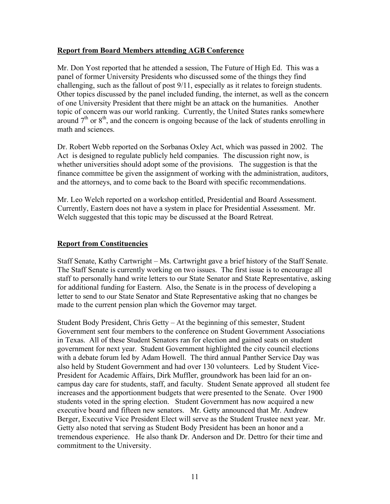## **Report from Board Members attending AGB Conference**

Mr. Don Yost reported that he attended a session, The Future of High Ed. This was a panel of former University Presidents who discussed some of the things they find challenging, such as the fallout of post 9/11, especially as it relates to foreign students. Other topics discussed by the panel included funding, the internet, as well as the concern of one University President that there might be an attack on the humanities. Another topic of concern was our world ranking. Currently, the United States ranks somewhere around  $7<sup>th</sup>$  or  $8<sup>th</sup>$ , and the concern is ongoing because of the lack of students enrolling in math and sciences.

Dr. Robert Webb reported on the Sorbanas Oxley Act, which was passed in 2002. The Act is designed to regulate publicly held companies. The discussion right now, is whether universities should adopt some of the provisions. The suggestion is that the finance committee be given the assignment of working with the administration, auditors, and the attorneys, and to come back to the Board with specific recommendations.

Mr. Leo Welch reported on a workshop entitled, Presidential and Board Assessment. Currently, Eastern does not have a system in place for Presidential Assessment. Mr. Welch suggested that this topic may be discussed at the Board Retreat.

# **Report from Constituencies**

Staff Senate, Kathy Cartwright – Ms. Cartwright gave a brief history of the Staff Senate. The Staff Senate is currently working on two issues. The first issue is to encourage all staff to personally hand write letters to our State Senator and State Representative, asking for additional funding for Eastern. Also, the Senate is in the process of developing a letter to send to our State Senator and State Representative asking that no changes be made to the current pension plan which the Governor may target.

Student Body President, Chris Getty – At the beginning of this semester, Student Government sent four members to the conference on Student Government Associations in Texas. All of these Student Senators ran for election and gained seats on student government for next year. Student Government highlighted the city council elections with a debate forum led by Adam Howell. The third annual Panther Service Day was also held by Student Government and had over 130 volunteers. Led by Student Vice-President for Academic Affairs, Dirk Muffler, groundwork has been laid for an oncampus day care for students, staff, and faculty. Student Senate approved all student fee increases and the apportionment budgets that were presented to the Senate. Over 1900 students voted in the spring election. Student Government has now acquired a new executive board and fifteen new senators. Mr. Getty announced that Mr. Andrew Berger, Executive Vice President Elect will serve as the Student Trustee next year. Mr. Getty also noted that serving as Student Body President has been an honor and a tremendous experience. He also thank Dr. Anderson and Dr. Dettro for their time and commitment to the University.